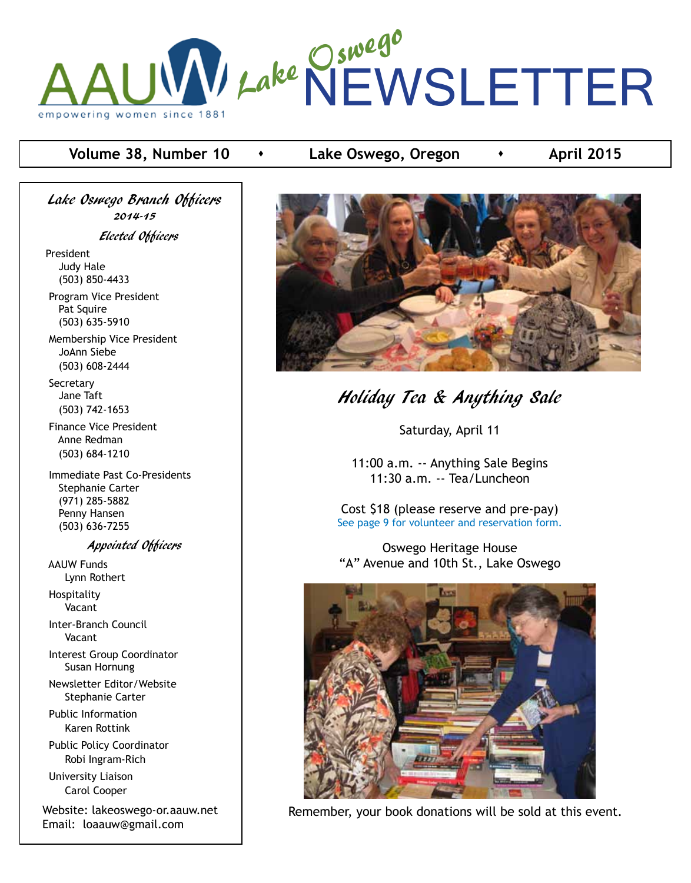

#### **Volume 38, Number 10**  $\rightarrow$  Lake Oswego, Oregon  $\rightarrow$  April 2015

Lake Oswego Branch Officers 2014-15 Elected Officers President Judy Hale (503) 850-4433 Program Vice President

 Pat Squire (503) 635-5910

 Membership Vice President JoAnn Siebe (503) 608-2444

**Secretary**  Jane Taft (503) 742-1653

 Finance Vice President Anne Redman (503) 684-1210

 Immediate Past Co-Presidents Stephanie Carter (971) 285-5882 Penny Hansen (503) 636-7255

Appointed Officers

 AAUW Funds Lynn Rothert Hospitality

Vacant

 Inter-Branch Council Vacant

 Interest Group Coordinator Susan Hornung

 Newsletter Editor/Website Stephanie Carter

 Public Information Karen Rottink

 Public Policy Coordinator Robi Ingram-Rich

 University Liaison Carol Cooper

Website: lakeoswego-or.aauw.net Email: loaauw@gmail.com



# Holiday Tea & Anything Sale

Saturday, April 11

11:00 a.m. -- Anything Sale Begins 11:30 a.m. -- Tea/Luncheon

Cost \$18 (please reserve and pre-pay) See page 9 for volunteer and reservation form.

Oswego Heritage House "A" Avenue and 10th St., Lake Oswego



Remember, your book donations will be sold at this event.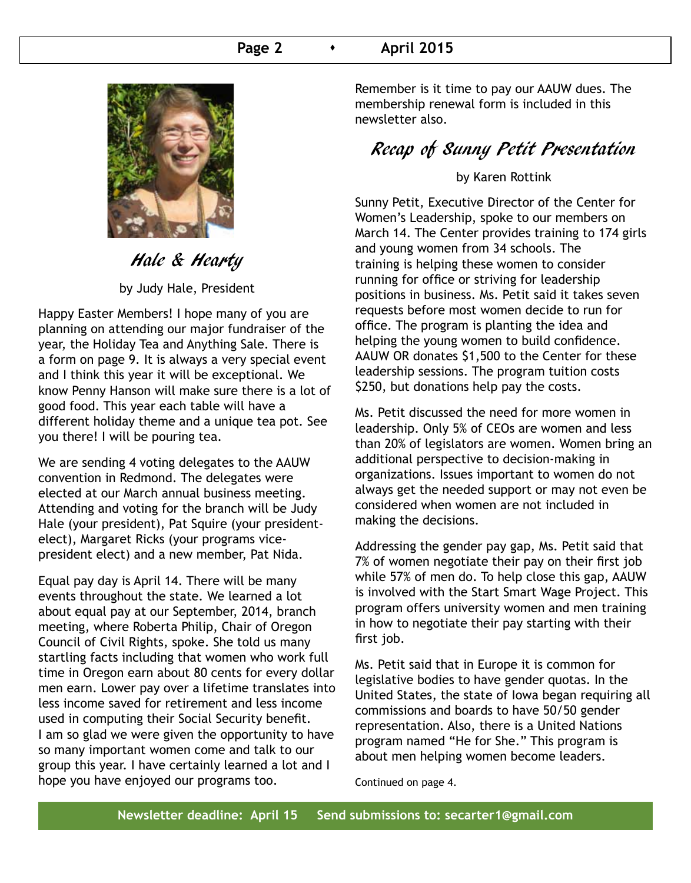#### **Page 2 c c April 2015**



### Hale & Hearty

by Judy Hale, President

Happy Easter Members! I hope many of you are planning on attending our major fundraiser of the year, the Holiday Tea and Anything Sale. There is a form on page 9. It is always a very special event and I think this year it will be exceptional. We know Penny Hanson will make sure there is a lot of good food. This year each table will have a different holiday theme and a unique tea pot. See you there! I will be pouring tea.

We are sending 4 voting delegates to the AAUW convention in Redmond. The delegates were elected at our March annual business meeting. Attending and voting for the branch will be Judy Hale (your president), Pat Squire (your presidentelect), Margaret Ricks (your programs vicepresident elect) and a new member, Pat Nida.

Equal pay day is April 14. There will be many events throughout the state. We learned a lot about equal pay at our September, 2014, branch meeting, where Roberta Philip, Chair of Oregon Council of Civil Rights, spoke. She told us many startling facts including that women who work full time in Oregon earn about 80 cents for every dollar men earn. Lower pay over a lifetime translates into less income saved for retirement and less income used in computing their Social Security benefit. I am so glad we were given the opportunity to have so many important women come and talk to our group this year. I have certainly learned a lot and I hope you have enjoyed our programs too.

Remember is it time to pay our AAUW dues. The membership renewal form is included in this newsletter also.

### Recap of Sunny Petit Presentation

#### by Karen Rottink

Sunny Petit, Executive Director of the Center for Women's Leadership, spoke to our members on March 14. The Center provides training to 174 girls and young women from 34 schools. The training is helping these women to consider running for office or striving for leadership positions in business. Ms. Petit said it takes seven requests before most women decide to run for office. The program is planting the idea and helping the young women to build confidence. AAUW OR donates \$1,500 to the Center for these leadership sessions. The program tuition costs \$250, but donations help pay the costs.

Ms. Petit discussed the need for more women in leadership. Only 5% of CEOs are women and less than 20% of legislators are women. Women bring an additional perspective to decision-making in organizations. Issues important to women do not always get the needed support or may not even be considered when women are not included in making the decisions.

Addressing the gender pay gap, Ms. Petit said that 7% of women negotiate their pay on their first job while 57% of men do. To help close this gap, AAUW is involved with the Start Smart Wage Project. This program offers university women and men training in how to negotiate their pay starting with their first job.

Ms. Petit said that in Europe it is common for legislative bodies to have gender quotas. In the United States, the state of Iowa began requiring all commissions and boards to have 50/50 gender representation. Also, there is a United Nations program named "He for She." This program is about men helping women become leaders.

Continued on page 4.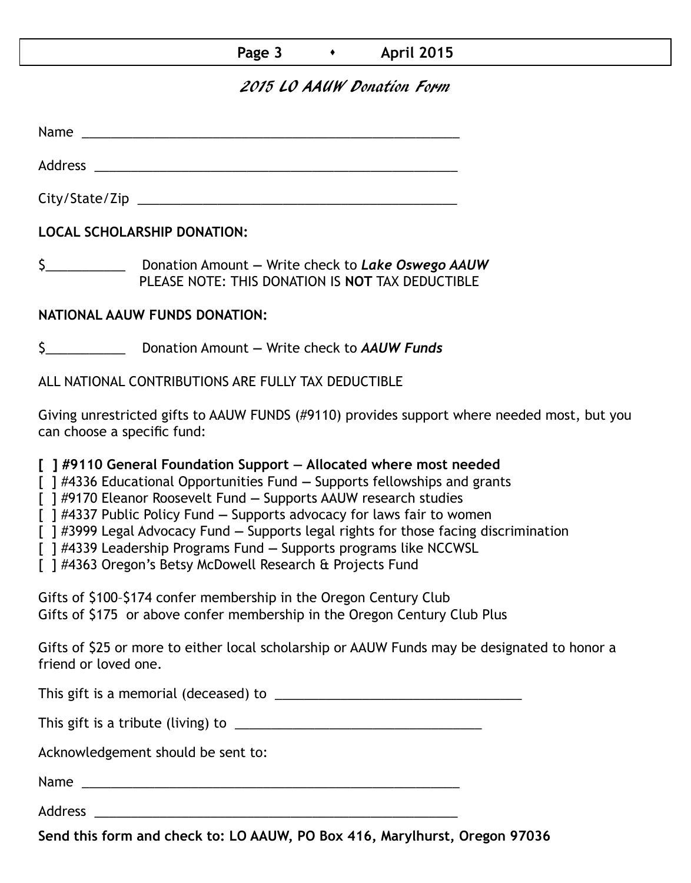#### **Page 3 • April 2015**

#### 2015 LO AAUW Donation Form

Name was also as  $\sim$  100  $\mu$  and  $\mu$  and  $\mu$  and  $\mu$  and  $\mu$  and  $\mu$  and  $\mu$ 

City/State/Zip 2000 and 2000 and 2000 and 2000 and 2000 and 2000 and 2000 and 2000 and 2000 and 200

Address \_\_\_\_\_\_\_\_\_\_\_\_\_\_\_\_\_\_\_\_\_\_\_\_\_\_\_\_\_\_\_\_\_\_\_\_\_\_\_\_\_\_\_\_\_\_\_\_\_\_

**LOCAL SCHOLARSHIP DONATION:**

\$\_\_\_\_\_\_\_\_\_\_\_ Donation Amount **—** Write check to *Lake Oswego AAUW* PLEASE NOTE: THIS DONATION IS **NOT** TAX DEDUCTIBLE

#### **NATIONAL AAUW FUNDS DONATION:**

\$\_\_\_\_\_\_\_\_\_\_\_ Donation Amount **—** Write check to *AAUW Funds*

ALL NATIONAL CONTRIBUTIONS ARE FULLY TAX DEDUCTIBLE

Giving unrestricted gifts to AAUW FUNDS (#9110) provides support where needed most, but you can choose a specific fund:

**[ ] #9110 General Foundation Support — Allocated where most needed** 

[ ] #4336 Educational Opportunities Fund **—** Supports fellowships and grants

[ ] #9170 Eleanor Roosevelt Fund **—** Supports AAUW research studies

[ ] #4337 Public Policy Fund **—** Supports advocacy for laws fair to women

[ ] #3999 Legal Advocacy Fund **—** Supports legal rights for those facing discrimination

[ ] #4339 Leadership Programs Fund **—** Supports programs like NCCWSL

[ ] #4363 Oregon's Betsy McDowell Research & Projects Fund

Gifts of \$100–\$174 confer membership in the Oregon Century Club Gifts of \$175 or above confer membership in the Oregon Century Club Plus

Gifts of \$25 or more to either local scholarship or AAUW Funds may be designated to honor a friend or loved one.

This gift is a memorial (deceased) to \_\_\_\_\_\_\_\_\_\_\_\_\_\_\_\_\_\_\_\_\_\_\_\_\_\_\_\_\_\_\_\_\_\_

This gift is a tribute (living) to \_\_\_\_\_\_\_\_\_\_\_\_\_\_\_\_\_\_\_\_\_\_\_\_\_\_\_\_\_\_\_\_\_\_

Acknowledgement should be sent to:

Name \_\_\_\_\_\_\_\_\_\_\_\_\_\_\_\_\_\_\_\_\_\_\_\_\_\_\_\_\_\_\_\_\_\_\_\_\_\_\_\_\_\_\_\_\_\_\_\_\_\_\_\_

Address \_\_\_\_\_\_\_\_\_\_\_\_\_\_\_\_\_\_\_\_\_\_\_\_\_\_\_\_\_\_\_\_\_\_\_\_\_\_\_\_\_\_\_\_\_\_\_\_\_\_

**Send this form and check to: LO AAUW, PO Box 416, Marylhurst, Oregon 97036**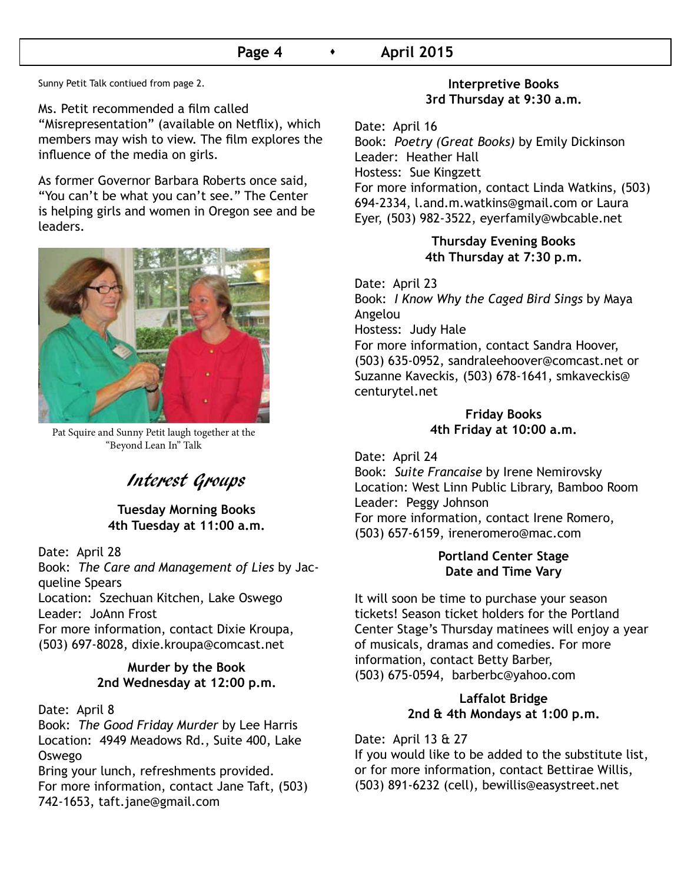#### **Page 4 • April 2015**

Sunny Petit Talk contiued from page 2.

Ms. Petit recommended a film called "Misrepresentation" (available on Netflix), which members may wish to view. The film explores the influence of the media on girls.

As former Governor Barbara Roberts once said, "You can't be what you can't see." The Center is helping girls and women in Oregon see and be leaders.



Pat Squire and Sunny Petit laugh together at the "Beyond Lean In" Talk

### Interest Groups

#### **Tuesday Morning Books 4th Tuesday at 11:00 a.m.**

Date: April 28 Book: *The Care and Management of Lies* by Jacqueline Spears Location: Szechuan Kitchen, Lake Oswego Leader: JoAnn Frost For more information, contact Dixie Kroupa, (503) 697-8028, dixie.kroupa@comcast.net

#### **Murder by the Book 2nd Wednesday at 12:00 p.m.**

Date: April 8

Book: *The Good Friday Murder* by Lee Harris Location: 4949 Meadows Rd., Suite 400, Lake Oswego

Bring your lunch, refreshments provided. For more information, contact Jane Taft, (503) 742-1653, taft.jane@gmail.com

#### **Interpretive Books 3rd Thursday at 9:30 a.m.**

Date: April 16 Book: *Poetry (Great Books)* by Emily Dickinson Leader: Heather Hall Hostess: Sue Kingzett For more information, contact Linda Watkins, (503) 694-2334, l.and.m.watkins@gmail.com or Laura Eyer, (503) 982-3522, eyerfamily@wbcable.net

#### **Thursday Evening Books 4th Thursday at 7:30 p.m.**

Date: April 23 Book: *I Know Why the Caged Bird Sings* by Maya Angelou Hostess: Judy Hale For more information, contact Sandra Hoover, (503) 635-0952, sandraleehoover@comcast.net or Suzanne Kaveckis, (503) 678-1641, smkaveckis@ centurytel.net

#### **Friday Books 4th Friday at 10:00 a.m.**

Date: April 24

Book: *Suite Francaise* by Irene Nemirovsky Location: West Linn Public Library, Bamboo Room Leader: Peggy Johnson For more information, contact Irene Romero, (503) 657-6159, ireneromero@mac.com

#### **Portland Center Stage Date and Time Vary**

It will soon be time to purchase your season tickets! Season ticket holders for the Portland Center Stage's Thursday matinees will enjoy a year of musicals, dramas and comedies. For more information, contact Betty Barber, (503) 675-0594, barberbc@yahoo.com

#### **Laffalot Bridge 2nd & 4th Mondays at 1:00 p.m.**

Date: April 13 & 27

If you would like to be added to the substitute list, or for more information, contact Bettirae Willis, (503) 891-6232 (cell), bewillis@easystreet.net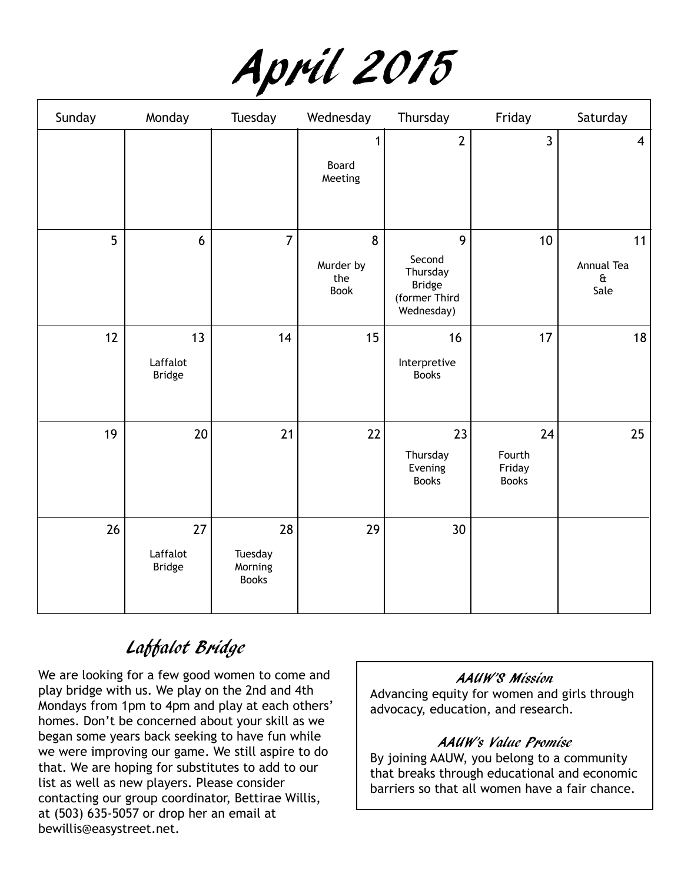| April 2015 |  |
|------------|--|
|            |  |

| Sunday | Monday                          | Tuesday                                  | Wednesday                     | Thursday                                                                | Friday                                 | Saturday                                 |
|--------|---------------------------------|------------------------------------------|-------------------------------|-------------------------------------------------------------------------|----------------------------------------|------------------------------------------|
|        |                                 |                                          | 1<br>Board<br>Meeting         | $\overline{2}$                                                          | $\overline{3}$                         | $\overline{4}$                           |
| 5      | 6                               | $\overline{7}$                           | 8<br>Murder by<br>the<br>Book | 9<br>Second<br>Thursday<br><b>Bridge</b><br>(former Third<br>Wednesday) | 10                                     | 11<br>Annual Tea<br>$\mathbf{a}$<br>Sale |
| 12     | 13<br>Laffalot<br><b>Bridge</b> | 14                                       | 15                            | 16<br>Interpretive<br><b>Books</b>                                      | 17                                     | 18                                       |
| 19     | 20                              | 21                                       | 22                            | 23<br>Thursday<br>Evening<br><b>Books</b>                               | 24<br>Fourth<br>Friday<br><b>Books</b> | 25                                       |
| 26     | 27<br>Laffalot<br><b>Bridge</b> | 28<br>Tuesday<br>Morning<br><b>Books</b> | 29                            | 30 <sup>°</sup>                                                         |                                        |                                          |

# Laffalot Bridge

We are looking for a few good women to come and play bridge with us. We play on the 2nd and 4th Mondays from 1pm to 4pm and play at each others' homes. Don't be concerned about your skill as we began some years back seeking to have fun while we were improving our game. We still aspire to do that. We are hoping for substitutes to add to our list as well as new players. Please consider contacting our group coordinator, Bettirae Willis, at (503) 635-5057 or drop her an email at bewillis@easystreet.net.

#### AAUW'S Mission

Advancing equity for women and girls through advocacy, education, and research.

#### AAUW's Value Promise

By joining AAUW, you belong to a community that breaks through educational and economic barriers so that all women have a fair chance.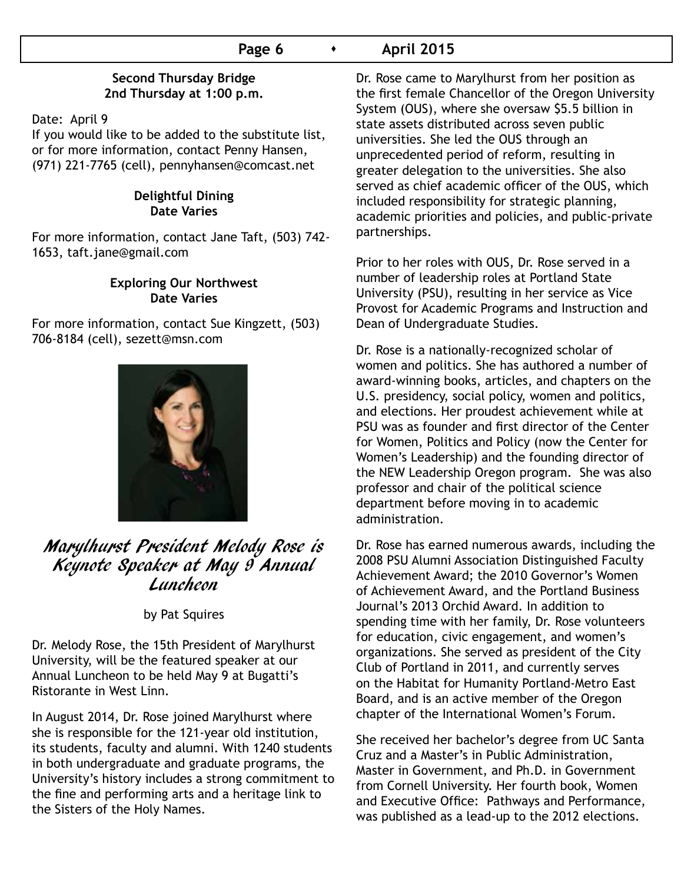#### **Second Thursday Bridge 2nd Thursday at 1:00 p.m.**

Date: April 9

If you would like to be added to the substitute list, or for more information, contact Penny Hansen, (971) 221-7765 (cell), pennyhansen@comcast.net

#### **Delightful Dining Date Varies**

For more information, contact Jane Taft, (503) 742- 1653, taft.jane@gmail.com

#### **Exploring Our Northwest Date Varies**

For more information, contact Sue Kingzett, (503) 706-8184 (cell), sezett@msn.com



# Marylhurst President Melody Rose is Keynote Speaker at May 9 Annual Luncheon

by Pat Squires

Dr. Melody Rose, the 15th President of Marylhurst University, will be the featured speaker at our Annual Luncheon to be held May 9 at Bugatti's Ristorante in West Linn.

In August 2014, Dr. Rose joined Marylhurst where she is responsible for the 121-year old institution, its students, faculty and alumni. With 1240 students in both undergraduate and graduate programs, the University's history includes a strong commitment to the fine and performing arts and a heritage link to the Sisters of the Holy Names.

Dr. Rose came to Marylhurst from her position as the first female Chancellor of the Oregon University System (OUS), where she oversaw \$5.5 billion in state assets distributed across seven public universities. She led the OUS through an unprecedented period of reform, resulting in greater delegation to the universities. She also served as chief academic officer of the OUS, which included responsibility for strategic planning, academic priorities and policies, and public-private partnerships.

Prior to her roles with OUS, Dr. Rose served in a number of leadership roles at Portland State University (PSU), resulting in her service as Vice Provost for Academic Programs and Instruction and Dean of Undergraduate Studies.

Dr. Rose is a nationally-recognized scholar of women and politics. She has authored a number of award-winning books, articles, and chapters on the U.S. presidency, social policy, women and politics, and elections. Her proudest achievement while at PSU was as founder and first director of the Center for Women, Politics and Policy (now the Center for Women's Leadership) and the founding director of the NEW Leadership Oregon program. She was also professor and chair of the political science department before moving in to academic administration.

Dr. Rose has earned numerous awards, including the 2008 PSU Alumni Association Distinguished Faculty Achievement Award; the 2010 Governor's Women of Achievement Award, and the Portland Business Journal's 2013 Orchid Award. In addition to spending time with her family, Dr. Rose volunteers for education, civic engagement, and women's organizations. She served as president of the City Club of Portland in 2011, and currently serves on the Habitat for Humanity Portland-Metro East Board, and is an active member of the Oregon chapter of the International Women's Forum.

She received her bachelor's degree from UC Santa Cruz and a Master's in Public Administration, Master in Government, and Ph.D. in Government from Cornell University. Her fourth book, Women and Executive Office: Pathways and Performance, was published as a lead-up to the 2012 elections.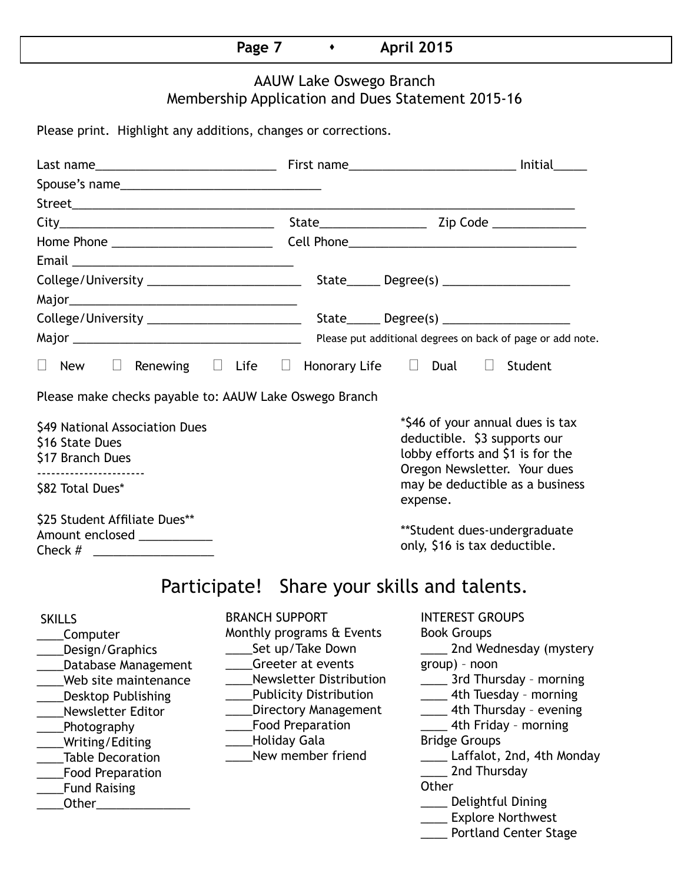### **Page 7 • April 2015**

### AAUW Lake Oswego Branch Membership Application and Dues Statement 2015-16

Please print. Highlight any additions, changes or corrections.

| Spouse's name                                                                                                                                                                                                                                                       |                                                                                                                                                                                                                                                               |                                                                                                                                                                                                                                                                                                                                                                      |
|---------------------------------------------------------------------------------------------------------------------------------------------------------------------------------------------------------------------------------------------------------------------|---------------------------------------------------------------------------------------------------------------------------------------------------------------------------------------------------------------------------------------------------------------|----------------------------------------------------------------------------------------------------------------------------------------------------------------------------------------------------------------------------------------------------------------------------------------------------------------------------------------------------------------------|
|                                                                                                                                                                                                                                                                     |                                                                                                                                                                                                                                                               |                                                                                                                                                                                                                                                                                                                                                                      |
|                                                                                                                                                                                                                                                                     |                                                                                                                                                                                                                                                               |                                                                                                                                                                                                                                                                                                                                                                      |
|                                                                                                                                                                                                                                                                     |                                                                                                                                                                                                                                                               |                                                                                                                                                                                                                                                                                                                                                                      |
|                                                                                                                                                                                                                                                                     |                                                                                                                                                                                                                                                               |                                                                                                                                                                                                                                                                                                                                                                      |
|                                                                                                                                                                                                                                                                     |                                                                                                                                                                                                                                                               |                                                                                                                                                                                                                                                                                                                                                                      |
|                                                                                                                                                                                                                                                                     |                                                                                                                                                                                                                                                               |                                                                                                                                                                                                                                                                                                                                                                      |
|                                                                                                                                                                                                                                                                     |                                                                                                                                                                                                                                                               |                                                                                                                                                                                                                                                                                                                                                                      |
|                                                                                                                                                                                                                                                                     |                                                                                                                                                                                                                                                               |                                                                                                                                                                                                                                                                                                                                                                      |
| $\Box$ New $\Box$ Renewing $\Box$ Life $\Box$ Honorary Life $\Box$ Dual $\Box$ Student                                                                                                                                                                              |                                                                                                                                                                                                                                                               |                                                                                                                                                                                                                                                                                                                                                                      |
| Please make checks payable to: AAUW Lake Oswego Branch                                                                                                                                                                                                              |                                                                                                                                                                                                                                                               |                                                                                                                                                                                                                                                                                                                                                                      |
| \$49 National Association Dues<br>\$16 State Dues<br>\$17 Branch Dues<br>-----------------------                                                                                                                                                                    |                                                                                                                                                                                                                                                               | *\$46 of your annual dues is tax<br>deductible. \$3 supports our<br>lobby efforts and \$1 is for the<br>Oregon Newsletter. Your dues<br>may be deductible as a business                                                                                                                                                                                              |
| \$82 Total Dues*                                                                                                                                                                                                                                                    |                                                                                                                                                                                                                                                               | expense.                                                                                                                                                                                                                                                                                                                                                             |
| \$25 Student Affiliate Dues**<br>Amount enclosed ___________                                                                                                                                                                                                        |                                                                                                                                                                                                                                                               | **Student dues-undergraduate<br>only, \$16 is tax deductible.                                                                                                                                                                                                                                                                                                        |
|                                                                                                                                                                                                                                                                     | Participate! Share your skills and talents.                                                                                                                                                                                                                   |                                                                                                                                                                                                                                                                                                                                                                      |
| <b>SKILLS</b><br>Computer<br>Design/Graphics<br>Database Management<br>Web site maintenance<br><b>Desktop Publishing</b><br><b>Newsletter Editor</b><br>Photography<br>Writing/Editing<br><b>Table Decoration</b><br><b>Food Preparation</b><br><b>Fund Raising</b> | <b>BRANCH SUPPORT</b><br>Monthly programs & Events<br>Set up/Take Down<br>Greeter at events<br><b>Newsletter Distribution</b><br><b>Publicity Distribution</b><br><b>Directory Management</b><br><b>Food Preparation</b><br>Holiday Gala<br>New member friend | <b>INTEREST GROUPS</b><br><b>Book Groups</b><br>2nd Wednesday (mystery<br>group) - noon<br>_____ 3rd Thursday - morning<br>____ 4th Tuesday - morning<br>4th Thursday - evening<br>4th Friday - morning<br><b>Bridge Groups</b><br>Laffalot, 2nd, 4th Monday<br>2nd Thursday<br>Other<br>Delightful Dining<br>____ Explore Northwest<br><b>Portland Center Stage</b> |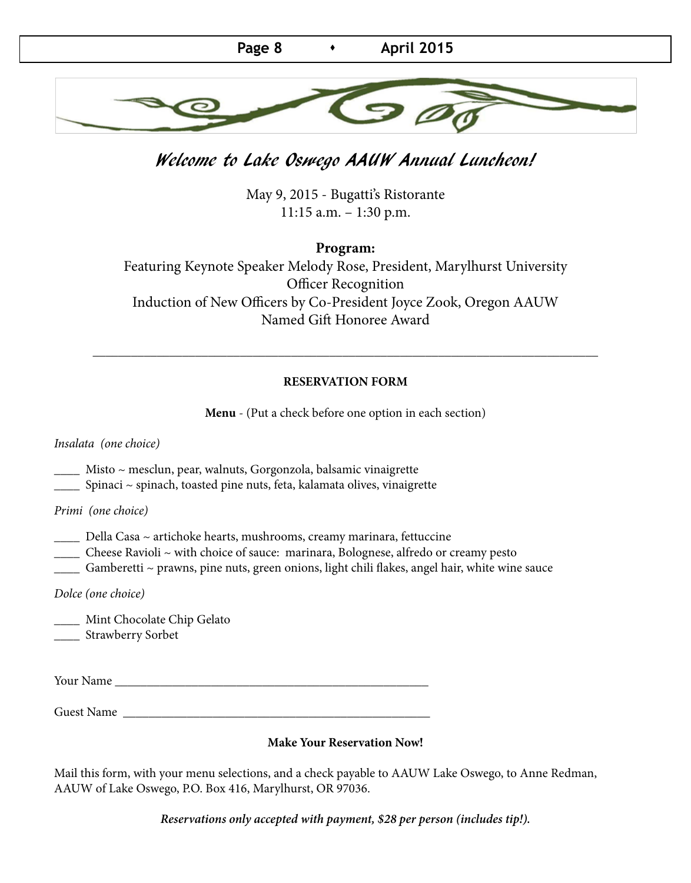

### Welcome to Lake Oswego AAUW Annual Luncheon!

May 9, 2015 - Bugatti's Ristorante 11:15 a.m. – 1:30 p.m.

**Program:** 

Featuring Keynote Speaker Melody Rose, President, Marylhurst University Officer Recognition Induction of New Officers by Co-President Joyce Zook, Oregon AAUW Named Gift Honoree Award

#### **RESERVATION FORM**

\_\_\_\_\_\_\_\_\_\_\_\_\_\_\_\_\_\_\_\_\_\_\_\_\_\_\_\_\_\_\_\_\_\_\_\_\_\_\_\_\_\_\_\_\_\_\_\_\_\_\_\_\_\_\_\_\_\_\_\_\_\_\_\_\_\_\_\_\_\_\_\_\_\_\_\_\_\_\_

**Menu** - (Put a check before one option in each section)

*Insalata (one choice)*

- \_\_\_\_ Misto ~ mesclun, pear, walnuts, Gorgonzola, balsamic vinaigrette
- \_\_\_\_ Spinaci ~ spinach, toasted pine nuts, feta, kalamata olives, vinaigrette

*Primi (one choice)*

- \_\_\_\_ Della Casa ~ artichoke hearts, mushrooms, creamy marinara, fettuccine
- \_\_\_\_ Cheese Ravioli ~ with choice of sauce: marinara, Bolognese, alfredo or creamy pesto
- \_\_\_\_ Gamberetti ~ prawns, pine nuts, green onions, light chili flakes, angel hair, white wine sauce

*Dolce (one choice)*

\_\_\_\_ Mint Chocolate Chip Gelato \_\_\_\_ Strawberry Sorbet

Your Name \_\_\_\_\_\_\_\_\_\_\_\_\_\_\_\_\_\_\_\_\_\_\_\_\_\_\_\_\_\_\_\_\_\_\_\_\_\_\_\_\_\_\_\_\_\_\_\_\_

Guest Name \_\_\_\_\_\_\_\_\_\_\_\_\_\_\_\_\_\_\_\_\_\_\_\_\_\_\_\_\_\_\_\_\_\_\_\_\_\_\_\_\_\_\_\_\_\_\_\_

#### **Make Your Reservation Now!**

Mail this form, with your menu selections, and a check payable to AAUW Lake Oswego, to Anne Redman, AAUW of Lake Oswego, P.O. Box 416, Marylhurst, OR 97036.

*Reservations only accepted with payment, \$28 per person (includes tip!).*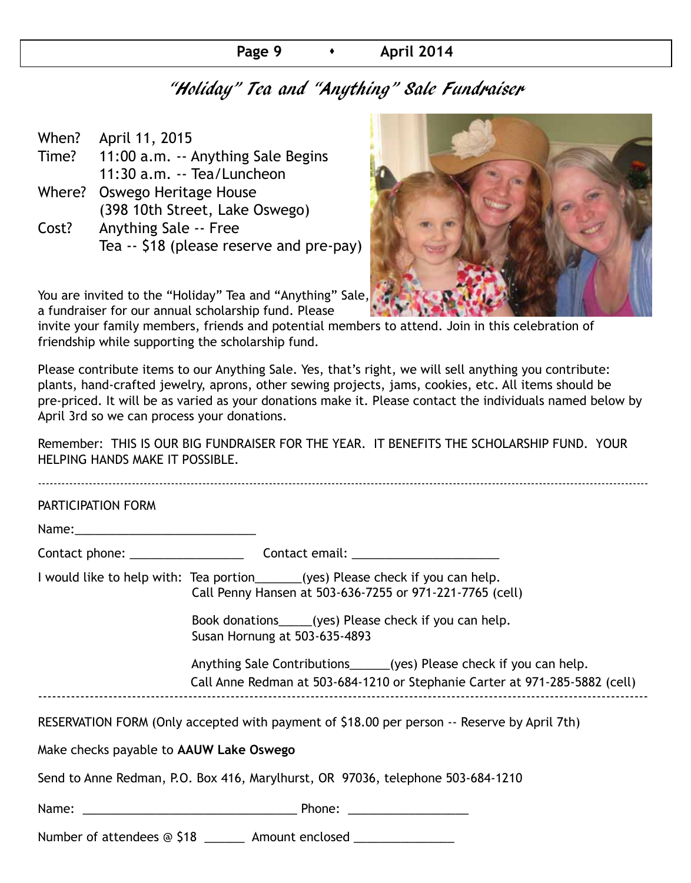#### **Page 9 • April 2014**

### "Holiday" Tea and "Anything" Sale Fundraiser

| When? | April 11, 2015                           |
|-------|------------------------------------------|
| Time? | 11:00 a.m. -- Anything Sale Begins       |
|       | 11:30 a.m. -- Tea/Luncheon               |
|       | Where? Oswego Heritage House             |
|       | (398 10th Street, Lake Oswego)           |
| Cost? | <b>Anything Sale -- Free</b>             |
|       | Tea -- \$18 (please reserve and pre-pay) |
|       |                                          |



You are invited to the "Holiday" Tea and "Anything" Sale, a fundraiser for our annual scholarship fund. Please

invite your family members, friends and potential members to attend. Join in this celebration of friendship while supporting the scholarship fund.

Please contribute items to our Anything Sale. Yes, that's right, we will sell anything you contribute: plants, hand-crafted jewelry, aprons, other sewing projects, jams, cookies, etc. All items should be pre-priced. It will be as varied as your donations make it. Please contact the individuals named below by April 3rd so we can process your donations.

Remember: THIS IS OUR BIG FUNDRAISER FOR THE YEAR. IT BENEFITS THE SCHOLARSHIP FUND. YOUR HELPING HANDS MAKE IT POSSIBLE.

| PARTICIPATION FORM                      |                                                                                                                                                     |
|-----------------------------------------|-----------------------------------------------------------------------------------------------------------------------------------------------------|
|                                         |                                                                                                                                                     |
|                                         |                                                                                                                                                     |
|                                         | I would like to help with: Tea portion______(yes) Please check if you can help.<br>Call Penny Hansen at 503-636-7255 or 971-221-7765 (cell)         |
|                                         | Book donations_____(yes) Please check if you can help.<br>Susan Hornung at 503-635-4893                                                             |
|                                         | Anything Sale Contributions______(yes) Please check if you can help.<br>Call Anne Redman at 503-684-1210 or Stephanie Carter at 971-285-5882 (cell) |
|                                         | RESERVATION FORM (Only accepted with payment of \$18.00 per person -- Reserve by April 7th)                                                         |
| Make checks payable to AAUW Lake Oswego |                                                                                                                                                     |
|                                         | Send to Anne Redman, P.O. Box 416, Marylhurst, OR 97036, telephone 503-684-1210                                                                     |
|                                         |                                                                                                                                                     |
|                                         | Number of attendees @ \$18 _______ Amount enclosed _______________                                                                                  |